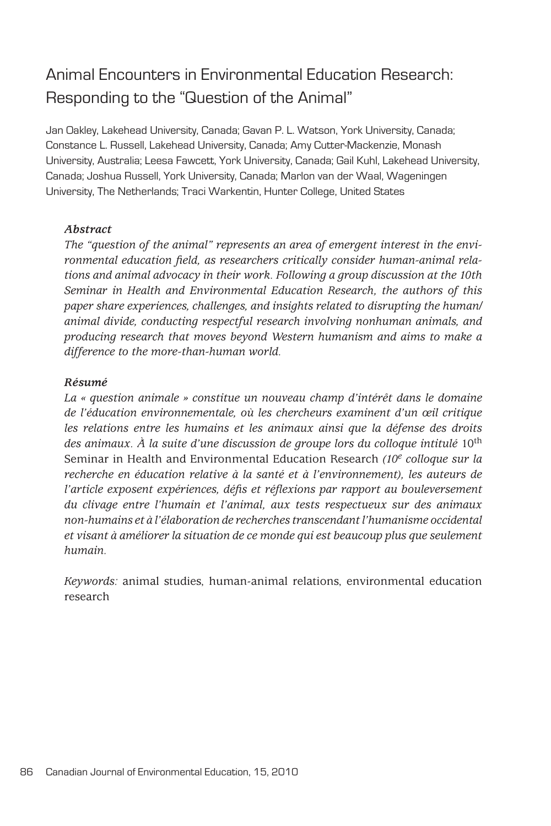# Animal Encounters in Environmental Education Research: Responding to the "Question of the Animal"

Jan Oakley, Lakehead University, Canada; Gavan P. L. Watson, York University, Canada; Constance L. Russell, Lakehead University, Canada; Amy Cutter-Mackenzie, Monash University, Australia; Leesa Fawcett, York University, Canada; Gail Kuhl, Lakehead University, Canada; Joshua Russell, York University, Canada; Marlon van der Waal, Wageningen University, The Netherlands; Traci Warkentin, Hunter College, United States

#### *Abstract*

*The "question of the animal" represents an area of emergent interest in the environmental education field, as researchers critically consider human-animal relations and animal advocacy in their work. Following a group discussion at the 10th Seminar in Health and Environmental Education Research, the authors of this paper share experiences, challenges, and insights related to disrupting the human/ animal divide, conducting respectful research involving nonhuman animals, and producing research that moves beyond Western humanism and aims to make a difference to the more-than-human world.* 

#### *Résumé*

*La « question animale » constitue un nouveau champ d'intérêt dans le domaine de l'éducation environnementale, où les chercheurs examinent d'un œil critique les relations entre les humains et les animaux ainsi que la défense des droits*  des animaux. À la suite d'une discussion de groupe lors du colloque intitulé 10<sup>th</sup> Seminar in Health and Environmental Education Research *(10e colloque sur la recherche en éducation relative à la santé et à l'environnement), les auteurs de l'article exposent expériences, défis et réflexions par rapport au bouleversement du clivage entre l'humain et l'animal, aux tests respectueux sur des animaux non-humains et à l'élaboration de recherches transcendant l'humanisme occidental et visant à améliorer la situation de ce monde qui est beaucoup plus que seulement humain.* 

*Keywords:* animal studies, human-animal relations, environmental education research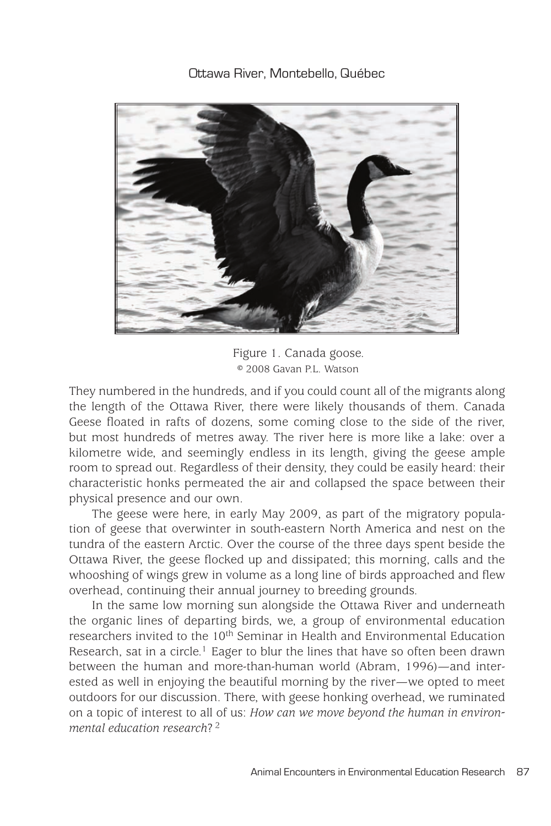Ottawa River, Montebello, Québec



Figure 1. Canada goose. © 2008 Gavan P.L. Watson

They numbered in the hundreds, and if you could count all of the migrants along the length of the Ottawa River, there were likely thousands of them. Canada Geese floated in rafts of dozens, some coming close to the side of the river, but most hundreds of metres away. The river here is more like a lake: over a kilometre wide, and seemingly endless in its length, giving the geese ample room to spread out. Regardless of their density, they could be easily heard: their characteristic honks permeated the air and collapsed the space between their physical presence and our own.

The geese were here, in early May 2009, as part of the migratory population of geese that overwinter in south-eastern North America and nest on the tundra of the eastern Arctic. Over the course of the three days spent beside the Ottawa River, the geese flocked up and dissipated; this morning, calls and the whooshing of wings grew in volume as a long line of birds approached and flew overhead, continuing their annual journey to breeding grounds.

In the same low morning sun alongside the Ottawa River and underneath the organic lines of departing birds, we, a group of environmental education researchers invited to the 10<sup>th</sup> Seminar in Health and Environmental Education Research, sat in a circle.<sup>1</sup> Eager to blur the lines that have so often been drawn between the human and more-than-human world (Abram, 1996)—and interested as well in enjoying the beautiful morning by the river—we opted to meet outdoors for our discussion. There, with geese honking overhead, we ruminated on a topic of interest to all of us: *How can we move beyond the human in environmental education research*? 2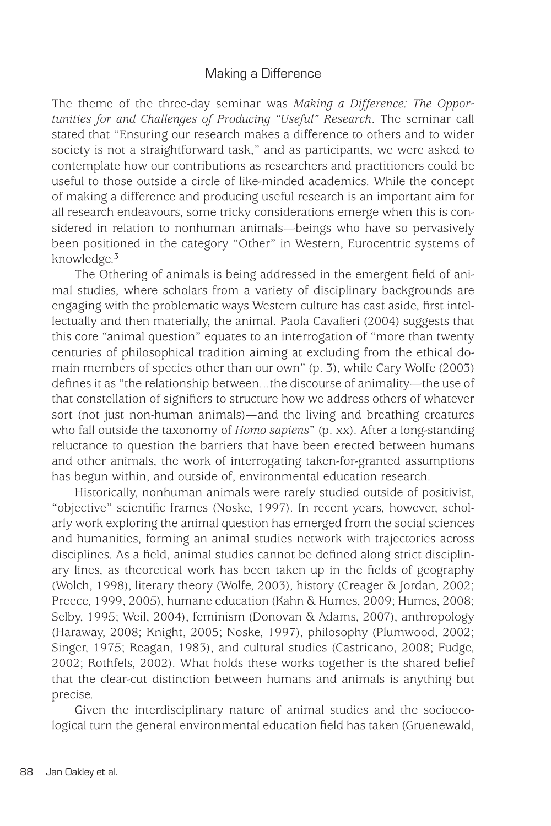# Making a Difference

The theme of the three-day seminar was *Making a Difference: The Opportunities for and Challenges of Producing "Useful" Research*. The seminar call stated that "Ensuring our research makes a difference to others and to wider society is not a straightforward task," and as participants, we were asked to contemplate how our contributions as researchers and practitioners could be useful to those outside a circle of like-minded academics. While the concept of making a difference and producing useful research is an important aim for all research endeavours, some tricky considerations emerge when this is considered in relation to nonhuman animals—beings who have so pervasively been positioned in the category "Other" in Western, Eurocentric systems of knowledge.3

The Othering of animals is being addressed in the emergent field of animal studies, where scholars from a variety of disciplinary backgrounds are engaging with the problematic ways Western culture has cast aside, first intellectually and then materially, the animal. Paola Cavalieri (2004) suggests that this core "animal question" equates to an interrogation of "more than twenty centuries of philosophical tradition aiming at excluding from the ethical domain members of species other than our own" (p. 3), while Cary Wolfe (2003) defines it as "the relationship between...the discourse of animality—the use of that constellation of signifiers to structure how we address others of whatever sort (not just non-human animals)—and the living and breathing creatures who fall outside the taxonomy of *Homo sapiens*" (p. xx). After a long-standing reluctance to question the barriers that have been erected between humans and other animals, the work of interrogating taken-for-granted assumptions has begun within, and outside of, environmental education research.

Historically, nonhuman animals were rarely studied outside of positivist, "objective" scientific frames (Noske, 1997). In recent years, however, scholarly work exploring the animal question has emerged from the social sciences and humanities, forming an animal studies network with trajectories across disciplines. As a field, animal studies cannot be defined along strict disciplinary lines, as theoretical work has been taken up in the fields of geography (Wolch, 1998), literary theory (Wolfe, 2003), history (Creager & Jordan, 2002; Preece, 1999, 2005), humane education (Kahn & Humes, 2009; Humes, 2008; Selby, 1995; Weil, 2004), feminism (Donovan & Adams, 2007), anthropology (Haraway, 2008; Knight, 2005; Noske, 1997), philosophy (Plumwood, 2002; Singer, 1975; Reagan, 1983), and cultural studies (Castricano, 2008; Fudge, 2002; Rothfels, 2002). What holds these works together is the shared belief that the clear-cut distinction between humans and animals is anything but precise.

Given the interdisciplinary nature of animal studies and the socioecological turn the general environmental education field has taken (Gruenewald,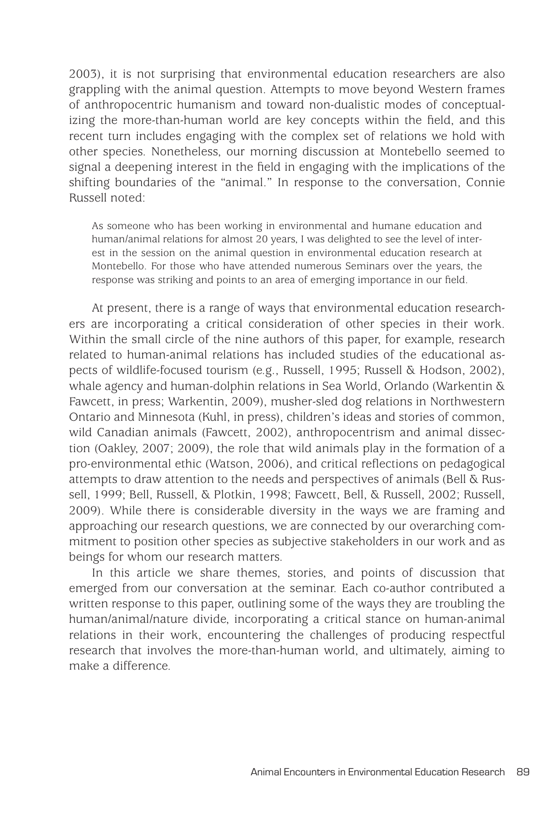2003), it is not surprising that environmental education researchers are also grappling with the animal question. Attempts to move beyond Western frames of anthropocentric humanism and toward non-dualistic modes of conceptualizing the more-than-human world are key concepts within the field, and this recent turn includes engaging with the complex set of relations we hold with other species. Nonetheless, our morning discussion at Montebello seemed to signal a deepening interest in the field in engaging with the implications of the shifting boundaries of the "animal." In response to the conversation, Connie Russell noted:

As someone who has been working in environmental and humane education and human/animal relations for almost 20 years, I was delighted to see the level of interest in the session on the animal question in environmental education research at Montebello. For those who have attended numerous Seminars over the years, the response was striking and points to an area of emerging importance in our field.

At present, there is a range of ways that environmental education researchers are incorporating a critical consideration of other species in their work. Within the small circle of the nine authors of this paper, for example, research related to human-animal relations has included studies of the educational aspects of wildlife-focused tourism (e.g., Russell, 1995; Russell & Hodson, 2002), whale agency and human-dolphin relations in Sea World, Orlando (Warkentin & Fawcett, in press; Warkentin, 2009), musher-sled dog relations in Northwestern Ontario and Minnesota (Kuhl, in press), children's ideas and stories of common, wild Canadian animals (Fawcett, 2002), anthropocentrism and animal dissection (Oakley, 2007; 2009), the role that wild animals play in the formation of a pro-environmental ethic (Watson, 2006), and critical reflections on pedagogical attempts to draw attention to the needs and perspectives of animals (Bell & Russell, 1999; Bell, Russell, & Plotkin, 1998; Fawcett, Bell, & Russell, 2002; Russell, 2009). While there is considerable diversity in the ways we are framing and approaching our research questions, we are connected by our overarching commitment to position other species as subjective stakeholders in our work and as beings for whom our research matters.

In this article we share themes, stories, and points of discussion that emerged from our conversation at the seminar. Each co-author contributed a written response to this paper, outlining some of the ways they are troubling the human/animal/nature divide, incorporating a critical stance on human-animal relations in their work, encountering the challenges of producing respectful research that involves the more-than-human world, and ultimately, aiming to make a difference.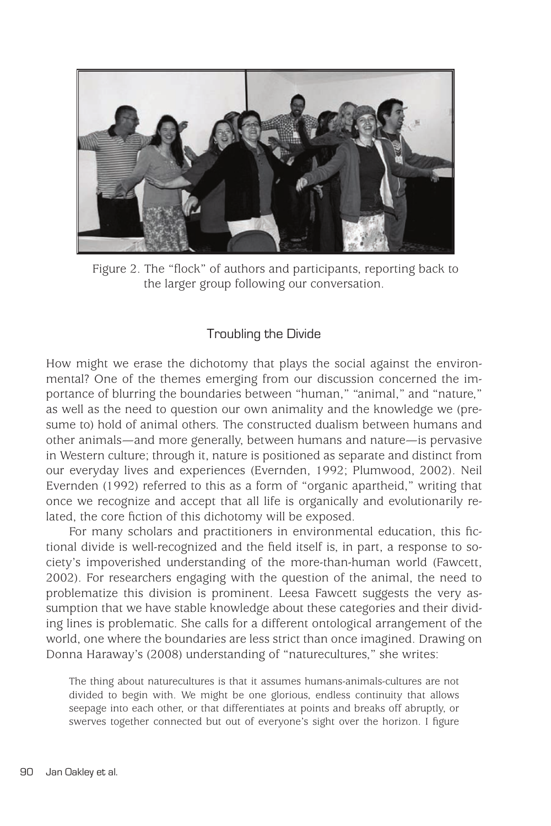

Figure 2. The "flock" of authors and participants, reporting back to the larger group following our conversation.

# Troubling the Divide

How might we erase the dichotomy that plays the social against the environmental? One of the themes emerging from our discussion concerned the importance of blurring the boundaries between "human," "animal," and "nature," as well as the need to question our own animality and the knowledge we (presume to) hold of animal others. The constructed dualism between humans and other animals—and more generally, between humans and nature—is pervasive in Western culture; through it, nature is positioned as separate and distinct from our everyday lives and experiences (Evernden, 1992; Plumwood, 2002). Neil Evernden (1992) referred to this as a form of "organic apartheid," writing that once we recognize and accept that all life is organically and evolutionarily related, the core fiction of this dichotomy will be exposed.

For many scholars and practitioners in environmental education, this fictional divide is well-recognized and the field itself is, in part, a response to society's impoverished understanding of the more-than-human world (Fawcett, 2002). For researchers engaging with the question of the animal, the need to problematize this division is prominent. Leesa Fawcett suggests the very assumption that we have stable knowledge about these categories and their dividing lines is problematic. She calls for a different ontological arrangement of the world, one where the boundaries are less strict than once imagined. Drawing on Donna Haraway's (2008) understanding of "naturecultures," she writes:

The thing about naturecultures is that it assumes humans-animals-cultures are not divided to begin with. We might be one glorious, endless continuity that allows seepage into each other, or that differentiates at points and breaks off abruptly, or swerves together connected but out of everyone's sight over the horizon. I figure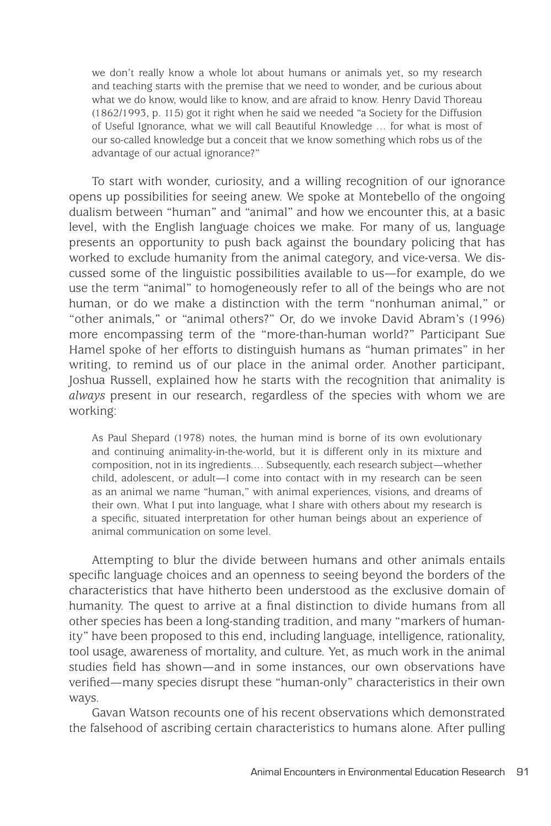we don't really know a whole lot about humans or animals yet, so my research and teaching starts with the premise that we need to wonder, and be curious about what we do know, would like to know, and are afraid to know. Henry David Thoreau (1862/1993, p. 115) got it right when he said we needed "a Society for the Diffusion of Useful Ignorance, what we will call Beautiful Knowledge … for what is most of our so-called knowledge but a conceit that we know something which robs us of the advantage of our actual ignorance?"

To start with wonder, curiosity, and a willing recognition of our ignorance opens up possibilities for seeing anew. We spoke at Montebello of the ongoing dualism between "human" and "animal" and how we encounter this, at a basic level, with the English language choices we make. For many of us, language presents an opportunity to push back against the boundary policing that has worked to exclude humanity from the animal category, and vice-versa. We discussed some of the linguistic possibilities available to us—for example, do we use the term "animal" to homogeneously refer to all of the beings who are not human, or do we make a distinction with the term "nonhuman animal," or "other animals," or "animal others?" Or, do we invoke David Abram's (1996) more encompassing term of the "more-than-human world?" Participant Sue Hamel spoke of her efforts to distinguish humans as "human primates" in her writing, to remind us of our place in the animal order. Another participant, Joshua Russell, explained how he starts with the recognition that animality is *always* present in our research, regardless of the species with whom we are working:

As Paul Shepard (1978) notes, the human mind is borne of its own evolutionary and continuing animality-in-the-world, but it is different only in its mixture and composition, not in its ingredients.… Subsequently, each research subject—whether child, adolescent, or adult—I come into contact with in my research can be seen as an animal we name "human," with animal experiences, visions, and dreams of their own. What I put into language, what I share with others about my research is a specific, situated interpretation for other human beings about an experience of animal communication on some level.

Attempting to blur the divide between humans and other animals entails specific language choices and an openness to seeing beyond the borders of the characteristics that have hitherto been understood as the exclusive domain of humanity. The quest to arrive at a final distinction to divide humans from all other species has been a long-standing tradition, and many "markers of humanity" have been proposed to this end, including language, intelligence, rationality, tool usage, awareness of mortality, and culture. Yet, as much work in the animal studies field has shown—and in some instances, our own observations have verified—many species disrupt these "human-only" characteristics in their own ways.

Gavan Watson recounts one of his recent observations which demonstrated the falsehood of ascribing certain characteristics to humans alone. After pulling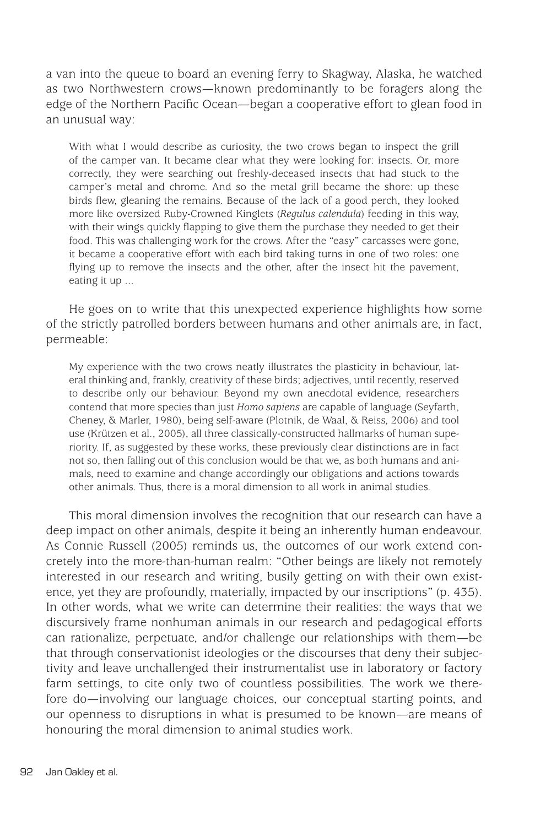a van into the queue to board an evening ferry to Skagway, Alaska, he watched as two Northwestern crows—known predominantly to be foragers along the edge of the Northern Pacific Ocean—began a cooperative effort to glean food in an unusual way:

With what I would describe as curiosity, the two crows began to inspect the grill of the camper van. It became clear what they were looking for: insects. Or, more correctly, they were searching out freshly-deceased insects that had stuck to the camper's metal and chrome. And so the metal grill became the shore: up these birds flew, gleaning the remains. Because of the lack of a good perch, they looked more like oversized Ruby-Crowned Kinglets (*Regulus calendula*) feeding in this way, with their wings quickly flapping to give them the purchase they needed to get their food. This was challenging work for the crows. After the "easy" carcasses were gone, it became a cooperative effort with each bird taking turns in one of two roles: one flying up to remove the insects and the other, after the insect hit the pavement, eating it up ...

He goes on to write that this unexpected experience highlights how some of the strictly patrolled borders between humans and other animals are, in fact, permeable:

My experience with the two crows neatly illustrates the plasticity in behaviour, lateral thinking and, frankly, creativity of these birds; adjectives, until recently, reserved to describe only our behaviour. Beyond my own anecdotal evidence, researchers contend that more species than just *Homo sapiens* are capable of language (Seyfarth, Cheney, & Marler, 1980), being self-aware (Plotnik, de Waal, & Reiss, 2006) and tool use (Krützen et al., 2005), all three classically-constructed hallmarks of human superiority. If, as suggested by these works, these previously clear distinctions are in fact not so, then falling out of this conclusion would be that we, as both humans and animals, need to examine and change accordingly our obligations and actions towards other animals. Thus, there is a moral dimension to all work in animal studies.

This moral dimension involves the recognition that our research can have a deep impact on other animals, despite it being an inherently human endeavour. As Connie Russell (2005) reminds us, the outcomes of our work extend concretely into the more-than-human realm: "Other beings are likely not remotely interested in our research and writing, busily getting on with their own existence, yet they are profoundly, materially, impacted by our inscriptions" (p. 435). In other words, what we write can determine their realities: the ways that we discursively frame nonhuman animals in our research and pedagogical efforts can rationalize, perpetuate, and/or challenge our relationships with them—be that through conservationist ideologies or the discourses that deny their subjectivity and leave unchallenged their instrumentalist use in laboratory or factory farm settings, to cite only two of countless possibilities. The work we therefore do—involving our language choices, our conceptual starting points, and our openness to disruptions in what is presumed to be known—are means of honouring the moral dimension to animal studies work.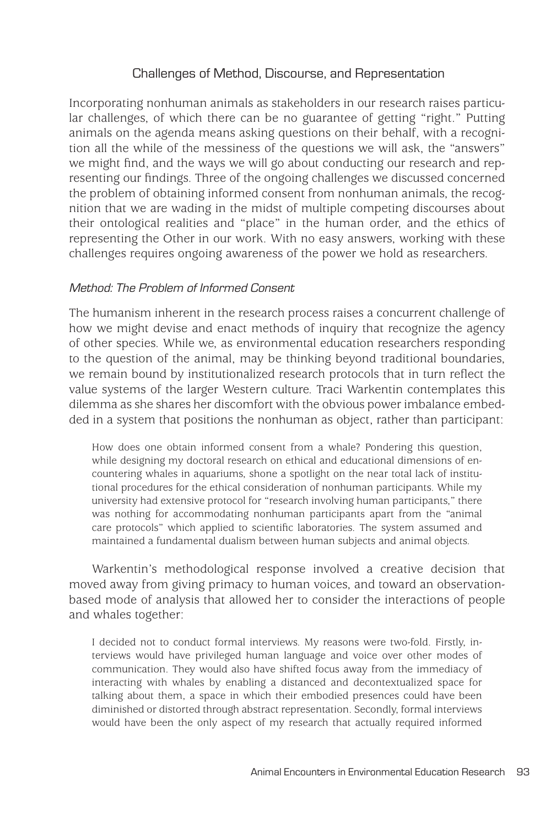# Challenges of Method, Discourse, and Representation

Incorporating nonhuman animals as stakeholders in our research raises particular challenges, of which there can be no guarantee of getting "right." Putting animals on the agenda means asking questions on their behalf, with a recognition all the while of the messiness of the questions we will ask, the "answers" we might find, and the ways we will go about conducting our research and representing our findings. Three of the ongoing challenges we discussed concerned the problem of obtaining informed consent from nonhuman animals, the recognition that we are wading in the midst of multiple competing discourses about their ontological realities and "place" in the human order, and the ethics of representing the Other in our work. With no easy answers, working with these challenges requires ongoing awareness of the power we hold as researchers.

## Method: The Problem of Informed Consent

The humanism inherent in the research process raises a concurrent challenge of how we might devise and enact methods of inquiry that recognize the agency of other species. While we, as environmental education researchers responding to the question of the animal, may be thinking beyond traditional boundaries, we remain bound by institutionalized research protocols that in turn reflect the value systems of the larger Western culture. Traci Warkentin contemplates this dilemma as she shares her discomfort with the obvious power imbalance embedded in a system that positions the nonhuman as object, rather than participant:

How does one obtain informed consent from a whale? Pondering this question, while designing my doctoral research on ethical and educational dimensions of encountering whales in aquariums, shone a spotlight on the near total lack of institutional procedures for the ethical consideration of nonhuman participants. While my university had extensive protocol for "research involving human participants," there was nothing for accommodating nonhuman participants apart from the "animal care protocols" which applied to scientific laboratories. The system assumed and maintained a fundamental dualism between human subjects and animal objects.

Warkentin's methodological response involved a creative decision that moved away from giving primacy to human voices, and toward an observationbased mode of analysis that allowed her to consider the interactions of people and whales together:

I decided not to conduct formal interviews. My reasons were two-fold. Firstly, interviews would have privileged human language and voice over other modes of communication. They would also have shifted focus away from the immediacy of interacting with whales by enabling a distanced and decontextualized space for talking about them, a space in which their embodied presences could have been diminished or distorted through abstract representation. Secondly, formal interviews would have been the only aspect of my research that actually required informed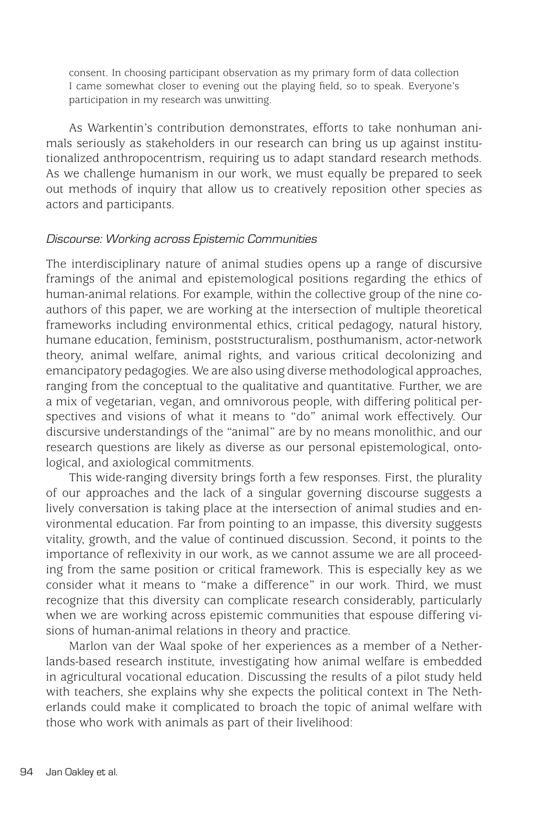consent. In choosing participant observation as my primary form of data collection I came somewhat closer to evening out the playing field, so to speak. Everyone's participation in my research was unwitting.

As Warkentin's contribution demonstrates, efforts to take nonhuman animals seriously as stakeholders in our research can bring us up against institutionalized anthropocentrism, requiring us to adapt standard research methods. As we challenge humanism in our work, we must equally be prepared to seek out methods of inquiry that allow us to creatively reposition other species as actors and participants.

#### Discourse: Working across Epistemic Communities

The interdisciplinary nature of animal studies opens up a range of discursive framings of the animal and epistemological positions regarding the ethics of human-animal relations. For example, within the collective group of the nine coauthors of this paper, we are working at the intersection of multiple theoretical frameworks including environmental ethics, critical pedagogy, natural history, humane education, feminism, poststructuralism, posthumanism, actor-network theory, animal welfare, animal rights, and various critical decolonizing and emancipatory pedagogies. We are also using diverse methodological approaches, ranging from the conceptual to the qualitative and quantitative. Further, we are a mix of vegetarian, vegan, and omnivorous people, with differing political perspectives and visions of what it means to "do" animal work effectively. Our discursive understandings of the "animal" are by no means monolithic, and our research questions are likely as diverse as our personal epistemological, ontological, and axiological commitments.

This wide-ranging diversity brings forth a few responses. First, the plurality of our approaches and the lack of a singular governing discourse suggests a lively conversation is taking place at the intersection of animal studies and environmental education. Far from pointing to an impasse, this diversity suggests vitality, growth, and the value of continued discussion. Second, it points to the importance of reflexivity in our work, as we cannot assume we are all proceeding from the same position or critical framework. This is especially key as we consider what it means to "make a difference" in our work. Third, we must recognize that this diversity can complicate research considerably, particularly when we are working across epistemic communities that espouse differing visions of human-animal relations in theory and practice.

Marlon van der Waal spoke of her experiences as a member of a Netherlands-based research institute, investigating how animal welfare is embedded in agricultural vocational education. Discussing the results of a pilot study held with teachers, she explains why she expects the political context in The Netherlands could make it complicated to broach the topic of animal welfare with those who work with animals as part of their livelihood: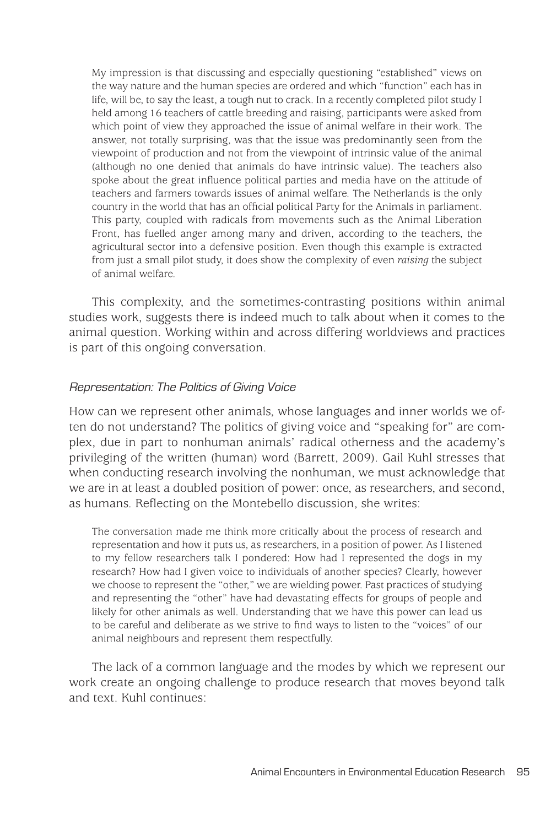My impression is that discussing and especially questioning "established" views on the way nature and the human species are ordered and which "function" each has in life, will be, to say the least, a tough nut to crack. In a recently completed pilot study I held among 16 teachers of cattle breeding and raising, participants were asked from which point of view they approached the issue of animal welfare in their work. The answer, not totally surprising, was that the issue was predominantly seen from the viewpoint of production and not from the viewpoint of intrinsic value of the animal (although no one denied that animals do have intrinsic value). The teachers also spoke about the great influence political parties and media have on the attitude of teachers and farmers towards issues of animal welfare. The Netherlands is the only country in the world that has an official political Party for the Animals in parliament. This party, coupled with radicals from movements such as the Animal Liberation Front, has fuelled anger among many and driven, according to the teachers, the agricultural sector into a defensive position. Even though this example is extracted from just a small pilot study, it does show the complexity of even *raising* the subject of animal welfare.

This complexity, and the sometimes-contrasting positions within animal studies work, suggests there is indeed much to talk about when it comes to the animal question. Working within and across differing worldviews and practices is part of this ongoing conversation.

## Representation: The Politics of Giving Voice

How can we represent other animals, whose languages and inner worlds we often do not understand? The politics of giving voice and "speaking for" are complex, due in part to nonhuman animals' radical otherness and the academy's privileging of the written (human) word (Barrett, 2009). Gail Kuhl stresses that when conducting research involving the nonhuman, we must acknowledge that we are in at least a doubled position of power: once, as researchers, and second, as humans. Reflecting on the Montebello discussion, she writes:

The conversation made me think more critically about the process of research and representation and how it puts us, as researchers, in a position of power. As I listened to my fellow researchers talk I pondered: How had I represented the dogs in my research? How had I given voice to individuals of another species? Clearly, however we choose to represent the "other," we are wielding power. Past practices of studying and representing the "other" have had devastating effects for groups of people and likely for other animals as well. Understanding that we have this power can lead us to be careful and deliberate as we strive to find ways to listen to the "voices" of our animal neighbours and represent them respectfully.

The lack of a common language and the modes by which we represent our work create an ongoing challenge to produce research that moves beyond talk and text. Kuhl continues: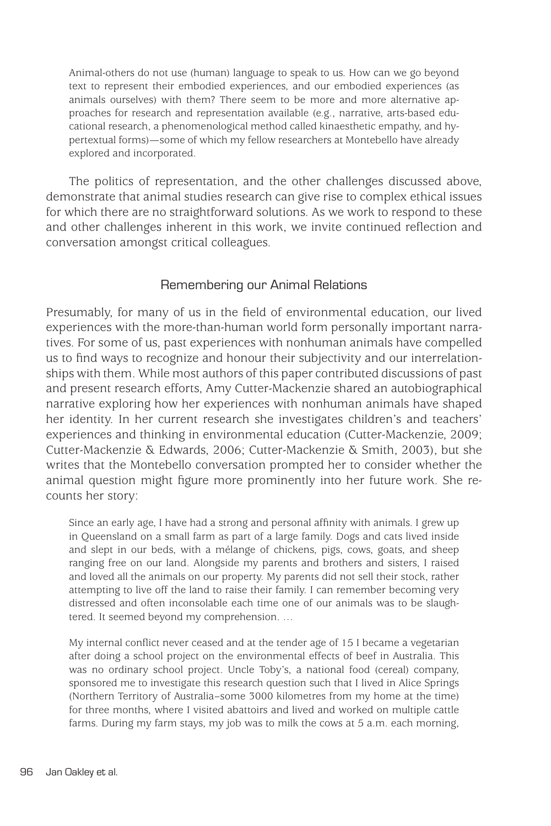Animal-others do not use (human) language to speak to us. How can we go beyond text to represent their embodied experiences, and our embodied experiences (as animals ourselves) with them? There seem to be more and more alternative approaches for research and representation available (e.g., narrative, arts-based educational research, a phenomenological method called kinaesthetic empathy, and hypertextual forms)—some of which my fellow researchers at Montebello have already explored and incorporated.

The politics of representation, and the other challenges discussed above, demonstrate that animal studies research can give rise to complex ethical issues for which there are no straightforward solutions. As we work to respond to these and other challenges inherent in this work, we invite continued reflection and conversation amongst critical colleagues.

## Remembering our Animal Relations

Presumably, for many of us in the field of environmental education, our lived experiences with the more-than-human world form personally important narratives. For some of us, past experiences with nonhuman animals have compelled us to find ways to recognize and honour their subjectivity and our interrelationships with them. While most authors of this paper contributed discussions of past and present research efforts, Amy Cutter-Mackenzie shared an autobiographical narrative exploring how her experiences with nonhuman animals have shaped her identity. In her current research she investigates children's and teachers' experiences and thinking in environmental education (Cutter-Mackenzie, 2009; Cutter-Mackenzie & Edwards, 2006; Cutter-Mackenzie & Smith, 2003), but she writes that the Montebello conversation prompted her to consider whether the animal question might figure more prominently into her future work. She recounts her story:

Since an early age, I have had a strong and personal affinity with animals. I grew up in Queensland on a small farm as part of a large family. Dogs and cats lived inside and slept in our beds, with a mélange of chickens, pigs, cows, goats, and sheep ranging free on our land. Alongside my parents and brothers and sisters, I raised and loved all the animals on our property. My parents did not sell their stock, rather attempting to live off the land to raise their family. I can remember becoming very distressed and often inconsolable each time one of our animals was to be slaughtered. It seemed beyond my comprehension. …

My internal conflict never ceased and at the tender age of 15 I became a vegetarian after doing a school project on the environmental effects of beef in Australia. This was no ordinary school project. Uncle Toby's, a national food (cereal) company, sponsored me to investigate this research question such that I lived in Alice Springs (Northern Territory of Australia–some 3000 kilometres from my home at the time) for three months, where I visited abattoirs and lived and worked on multiple cattle farms. During my farm stays, my job was to milk the cows at 5 a.m. each morning,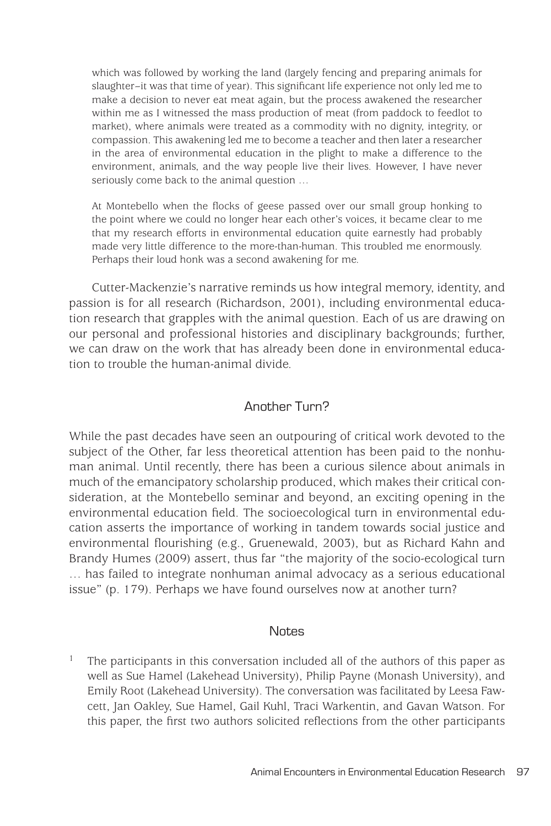which was followed by working the land (largely fencing and preparing animals for slaughter–it was that time of year). This significant life experience not only led me to make a decision to never eat meat again, but the process awakened the researcher within me as I witnessed the mass production of meat (from paddock to feedlot to market), where animals were treated as a commodity with no dignity, integrity, or compassion. This awakening led me to become a teacher and then later a researcher in the area of environmental education in the plight to make a difference to the environment, animals, and the way people live their lives. However, I have never seriously come back to the animal question …

At Montebello when the flocks of geese passed over our small group honking to the point where we could no longer hear each other's voices, it became clear to me that my research efforts in environmental education quite earnestly had probably made very little difference to the more-than-human. This troubled me enormously. Perhaps their loud honk was a second awakening for me.

Cutter-Mackenzie's narrative reminds us how integral memory, identity, and passion is for all research (Richardson, 2001), including environmental education research that grapples with the animal question. Each of us are drawing on our personal and professional histories and disciplinary backgrounds; further, we can draw on the work that has already been done in environmental education to trouble the human-animal divide.

## Another Turn?

While the past decades have seen an outpouring of critical work devoted to the subject of the Other, far less theoretical attention has been paid to the nonhuman animal. Until recently, there has been a curious silence about animals in much of the emancipatory scholarship produced, which makes their critical consideration, at the Montebello seminar and beyond, an exciting opening in the environmental education field. The socioecological turn in environmental education asserts the importance of working in tandem towards social justice and environmental flourishing (e.g., Gruenewald, 2003), but as Richard Kahn and Brandy Humes (2009) assert, thus far "the majority of the socio-ecological turn … has failed to integrate nonhuman animal advocacy as a serious educational issue" (p. 179). Perhaps we have found ourselves now at another turn?

#### **Notes**

<sup>1</sup> The participants in this conversation included all of the authors of this paper as well as Sue Hamel (Lakehead University), Philip Payne (Monash University), and Emily Root (Lakehead University). The conversation was facilitated by Leesa Fawcett, Jan Oakley, Sue Hamel, Gail Kuhl, Traci Warkentin, and Gavan Watson. For this paper, the first two authors solicited reflections from the other participants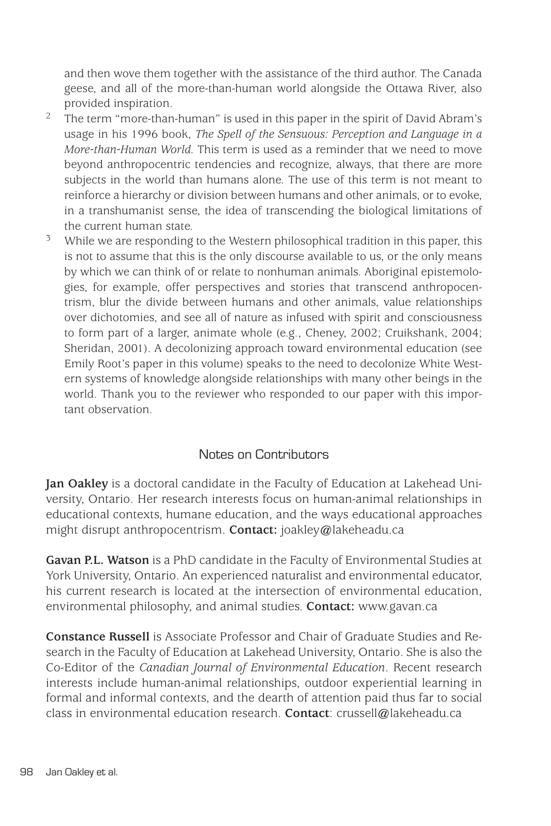and then wove them together with the assistance of the third author. The Canada geese, and all of the more-than-human world alongside the Ottawa River, also provided inspiration.

- <sup>2</sup> The term "more-than-human" is used in this paper in the spirit of David Abram's usage in his 1996 book, *The Spell of the Sensuous: Perception and Language in a More-than-Human World.* This term is used as a reminder that we need to move beyond anthropocentric tendencies and recognize, always, that there are more subjects in the world than humans alone. The use of this term is not meant to reinforce a hierarchy or division between humans and other animals, or to evoke, in a transhumanist sense, the idea of transcending the biological limitations of the current human state.
- $3$  While we are responding to the Western philosophical tradition in this paper, this is not to assume that this is the only discourse available to us, or the only means by which we can think of or relate to nonhuman animals. Aboriginal epistemologies, for example, offer perspectives and stories that transcend anthropocentrism, blur the divide between humans and other animals, value relationships over dichotomies, and see all of nature as infused with spirit and consciousness to form part of a larger, animate whole (e.g., Cheney, 2002; Cruikshank, 2004; Sheridan, 2001). A decolonizing approach toward environmental education (see Emily Root's paper in this volume) speaks to the need to decolonize White Western systems of knowledge alongside relationships with many other beings in the world. Thank you to the reviewer who responded to our paper with this important observation.

# Notes on Contributors

**Jan Oakley** is a doctoral candidate in the Faculty of Education at Lakehead University, Ontario. Her research interests focus on human-animal relationships in educational contexts, humane education, and the ways educational approaches might disrupt anthropocentrism. **Contact:** joakley@lakeheadu.ca

**Gavan P.L. Watson** is a PhD candidate in the Faculty of Environmental Studies at York University, Ontario. An experienced naturalist and environmental educator, his current research is located at the intersection of environmental education, environmental philosophy, and animal studies. **Contact:** www.gavan.ca

**Constance Russell** is Associate Professor and Chair of Graduate Studies and Research in the Faculty of Education at Lakehead University, Ontario. She is also the Co-Editor of the *Canadian Journal of Environmental Education*. Recent research interests include human-animal relationships, outdoor experiential learning in formal and informal contexts, and the dearth of attention paid thus far to social class in environmental education research. **Contact**: crussell@lakeheadu.ca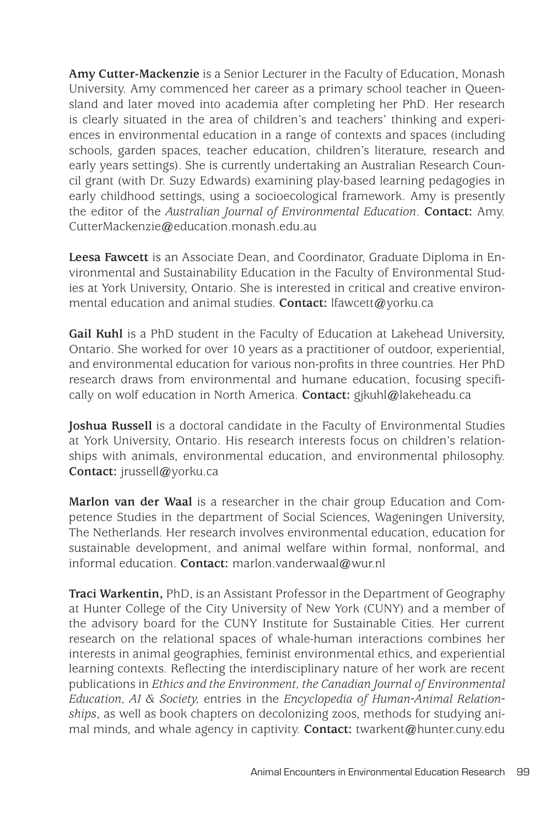**Amy Cutter-Mackenzie** is a Senior Lecturer in the Faculty of Education, Monash University. Amy commenced her career as a primary school teacher in Queensland and later moved into academia after completing her PhD. Her research is clearly situated in the area of children's and teachers' thinking and experiences in environmental education in a range of contexts and spaces (including schools, garden spaces, teacher education, children's literature, research and early years settings). She is currently undertaking an Australian Research Council grant (with Dr. Suzy Edwards) examining play-based learning pedagogies in early childhood settings, using a socioecological framework. Amy is presently the editor of the *Australian Journal of Environmental Education*. **Contact:** Amy. CutterMackenzie@education.monash.edu.au

**Leesa Fawcett** is an Associate Dean, and Coordinator, Graduate Diploma in Environmental and Sustainability Education in the Faculty of Environmental Studies at York University, Ontario. She is interested in critical and creative environmental education and animal studies. **Contact:** lfawcett@yorku.ca

**Gail Kuhl** is a PhD student in the Faculty of Education at Lakehead University, Ontario. She worked for over 10 years as a practitioner of outdoor, experiential, and environmental education for various non-profits in three countries. Her PhD research draws from environmental and humane education, focusing specifically on wolf education in North America. **Contact:** gjkuhl@lakeheadu.ca

**Joshua Russell** is a doctoral candidate in the Faculty of Environmental Studies at York University, Ontario. His research interests focus on children's relationships with animals, environmental education, and environmental philosophy. **Contact:** jrussell@yorku.ca

**Marlon van der Waal** is a researcher in the chair group Education and Competence Studies in the department of Social Sciences, Wageningen University, The Netherlands. Her research involves environmental education, education for sustainable development, and animal welfare within formal, nonformal, and informal education. **Contact:** marlon.vanderwaal@wur.nl

**Traci Warkentin,** PhD, is an Assistant Professor in the Department of Geography at Hunter College of the City University of New York (CUNY) and a member of the advisory board for the CUNY Institute for Sustainable Cities. Her current research on the relational spaces of whale-human interactions combines her interests in animal geographies, feminist environmental ethics, and experiential learning contexts. Reflecting the interdisciplinary nature of her work are recent publications in *Ethics and the Environment, the Canadian Journal of Environmental Education, AI & Society,* entries in the *Encyclopedia of Human-Animal Relationships*, as well as book chapters on decolonizing zoos, methods for studying animal minds, and whale agency in captivity. **Contact:** twarkent@hunter.cuny.edu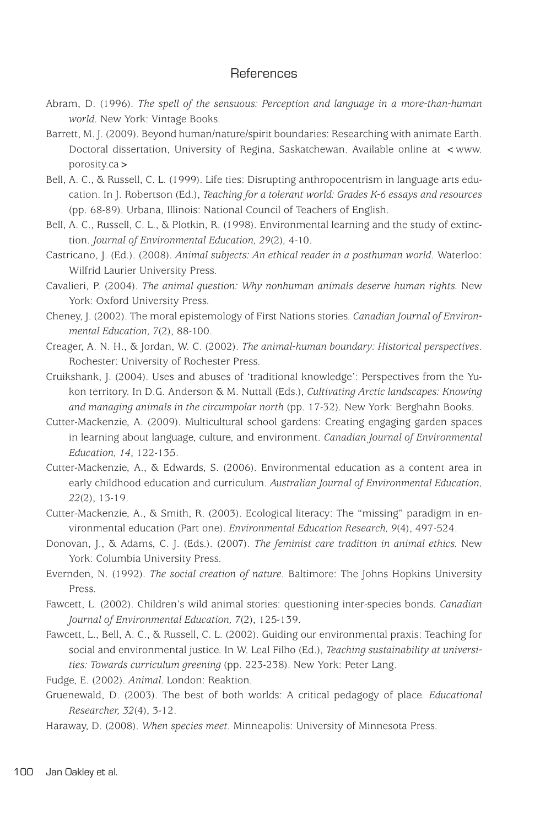## **References**

- Abram, D. (1996). *The spell of the sensuous: Perception and language in a more-than-human world*. New York: Vintage Books.
- Barrett, M. J. (2009). Beyond human/nature/spirit boundaries: Researching with animate Earth. Doctoral dissertation, University of Regina, Saskatchewan. Available online at <www. porosity.ca>
- Bell, A. C., & Russell, C. L. (1999). Life ties: Disrupting anthropocentrism in language arts education. In J. Robertson (Ed.), *Teaching for a tolerant world: Grades K-6 essays and resources*  (pp. 68-89). Urbana, Illinois: National Council of Teachers of English.
- Bell, A. C., Russell, C. L., & Plotkin, R. (1998). Environmental learning and the study of extinction. *Journal of Environmental Education, 29*(2)*,* 4-10.
- Castricano, J. (Ed.). (2008). *Animal subjects: An ethical reader in a posthuman world*. Waterloo: Wilfrid Laurier University Press.
- Cavalieri, P. (2004). *The animal question: Why nonhuman animals deserve human rights.* New York: Oxford University Press.
- Cheney, J. (2002). The moral epistemology of First Nations stories. *Canadian Journal of Environmental Education, 7*(2), 88-100.
- Creager, A. N. H., & Jordan, W. C. (2002). *The animal-human boundary: Historical perspectives*. Rochester: University of Rochester Press.
- Cruikshank, J. (2004). Uses and abuses of 'traditional knowledge': Perspectives from the Yukon territory. In D.G. Anderson & M. Nuttall (Eds.), *Cultivating Arctic landscapes: Knowing and managing animals in the circumpolar north* (pp. 17-32). New York: Berghahn Books.
- Cutter-Mackenzie, A. (2009). Multicultural school gardens: Creating engaging garden spaces in learning about language, culture, and environment. *Canadian Journal of Environmental Education, 14*, 122-135.
- Cutter-Mackenzie, A., & Edwards, S. (2006). Environmental education as a content area in early childhood education and curriculum. *Australian Journal of Environmental Education, 22*(2), 13-19.
- Cutter-Mackenzie, A., & Smith, R. (2003). Ecological literacy: The "missing" paradigm in environmental education (Part one). *Environmental Education Research, 9*(4), 497-524.
- Donovan, J., & Adams, C. J. (Eds.). (2007). *The feminist care tradition in animal ethics.* New York: Columbia University Press.
- Evernden, N. (1992). *The social creation of nature*. Baltimore: The Johns Hopkins University Press.
- Fawcett, L. (2002). Children's wild animal stories: questioning inter-species bonds. *Canadian Journal of Environmental Education, 7*(2), 125-139.
- Fawcett, L., Bell, A. C., & Russell, C. L. (2002). Guiding our environmental praxis: Teaching for social and environmental justice. In W. Leal Filho (Ed.), *Teaching sustainability at universities: Towards curriculum greening* (pp. 223-238). New York: Peter Lang.

Fudge, E. (2002). *Animal.* London: Reaktion.

Gruenewald, D. (2003). The best of both worlds: A critical pedagogy of place. *Educational Researcher, 32*(4), 3-12.

Haraway, D. (2008). *When species meet*. Minneapolis: University of Minnesota Press.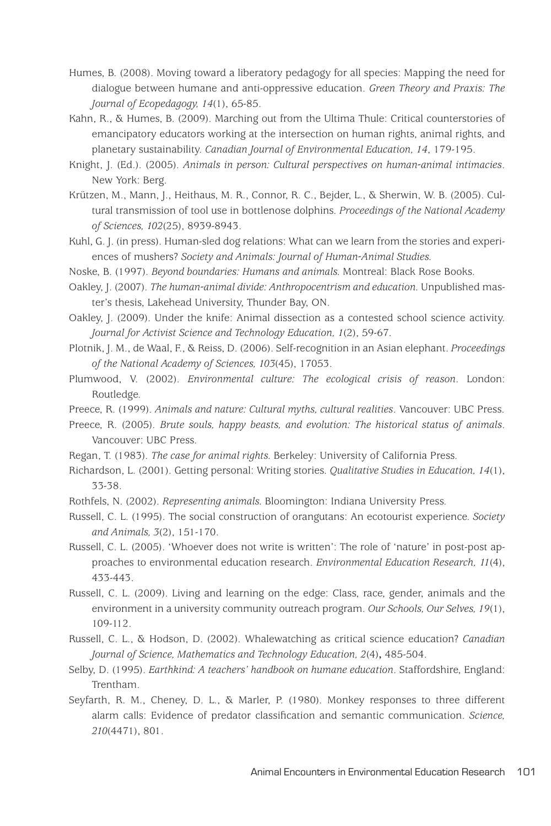- Humes, B. (2008). Moving toward a liberatory pedagogy for all species: Mapping the need for dialogue between humane and anti-oppressive education. *Green Theory and Praxis: The Journal of Ecopedagogy, 14*(1), 65-85.
- Kahn, R., & Humes, B. (2009). Marching out from the Ultima Thule: Critical counterstories of emancipatory educators working at the intersection on human rights, animal rights, and planetary sustainability. *Canadian Journal of Environmental Education, 14*, 179-195.
- Knight, J. (Ed.). (2005). *Animals in person: Cultural perspectives on human-animal intimacies*. New York: Berg.
- Krützen, M., Mann, J., Heithaus, M. R., Connor, R. C., Bejder, L., & Sherwin, W. B. (2005). Cultural transmission of tool use in bottlenose dolphins. *Proceedings of the National Academy of Sciences, 102*(25), 8939-8943.
- Kuhl, G. J. (in press). Human-sled dog relations: What can we learn from the stories and experiences of mushers? *Society and Animals: Journal of Human-Animal Studies.*
- Noske, B. (1997). *Beyond boundaries: Humans and animals.* Montreal: Black Rose Books.
- Oakley, J. (2007). *The human-animal divide: Anthropocentrism and education.* Unpublished master's thesis, Lakehead University, Thunder Bay, ON.
- Oakley, J. (2009). Under the knife: Animal dissection as a contested school science activity. *Journal for Activist Science and Technology Education, 1*(2), 59-67*.*
- Plotnik, J. M., de Waal, F., & Reiss, D. (2006). Self-recognition in an Asian elephant. *Proceedings of the National Academy of Sciences, 103*(45), 17053.
- Plumwood, V. (2002). *Environmental culture: The ecological crisis of reason*. London: Routledge.
- Preece, R. (1999). *Animals and nature: Cultural myths, cultural realities*. Vancouver: UBC Press.
- Preece, R. (2005). *Brute souls, happy beasts, and evolution: The historical status of animals*. Vancouver: UBC Press.
- Regan, T. (1983). *The case for animal rights.* Berkeley: University of California Press.
- Richardson, L. (2001). Getting personal: Writing stories. *Qualitative Studies in Education, 14*(1), 33-38.
- Rothfels, N. (2002). *Representing animals.* Bloomington: Indiana University Press.
- Russell, C. L. (1995). The social construction of orangutans: An ecotourist experience. *Society and Animals, 3*(2), 151-170.
- Russell, C. L. (2005). 'Whoever does not write is written': The role of 'nature' in post-post approaches to environmental education research. *Environmental Education Research, 11*(4), 433-443.
- Russell, C. L. (2009). Living and learning on the edge: Class, race, gender, animals and the environment in a university community outreach program. *Our Schools, Our Selves, 19*(1), 109-112.
- Russell, C. L., & Hodson, D. (2002). Whalewatching as critical science education? *Canadian Journal of Science, Mathematics and Technology Education, 2*(4)**,** 485-504.
- Selby, D. (1995). *Earthkind: A teachers' handbook on humane education*. Staffordshire, England: Trentham.
- Seyfarth, R. M., Cheney, D. L., & Marler, P. (1980). Monkey responses to three different alarm calls: Evidence of predator classification and semantic communication. *Science, 210*(4471), 801.